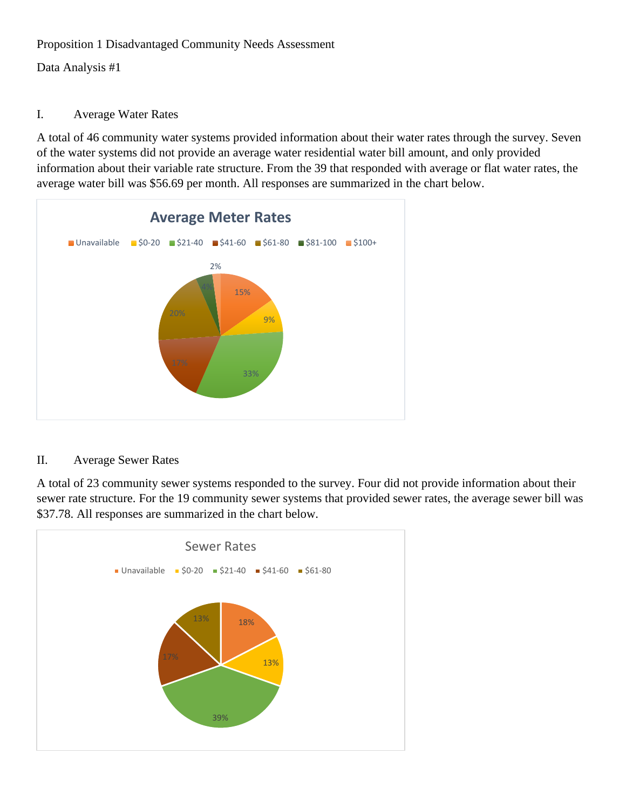## Proposition 1 Disadvantaged Community Needs Assessment

Data Analysis #1

## I. Average Water Rates

A total of 46 community water systems provided information about their water rates through the survey. Seven of the water systems did not provide an average water residential water bill amount, and only provided information about their variable rate structure. From the 39 that responded with average or flat water rates, the average water bill was \$56.69 per month. All responses are summarized in the chart below.



## II. Average Sewer Rates

A total of 23 community sewer systems responded to the survey. Four did not provide information about their sewer rate structure. For the 19 community sewer systems that provided sewer rates, the average sewer bill was \$37.78. All responses are summarized in the chart below.